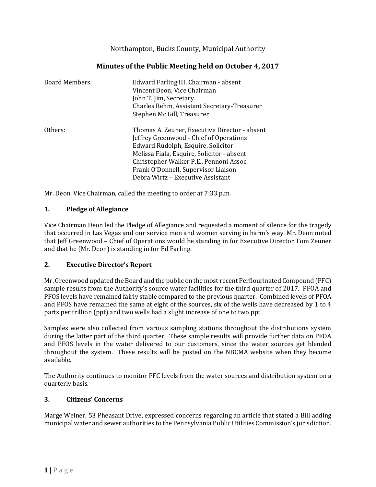Northampton, Bucks County, Municipal Authority

| <b>Board Members:</b> | Edward Farling III, Chairman - absent<br>Vincent Deon, Vice Chairman<br>John T. Jim, Secretary<br>Charles Rehm, Assistant Secretary-Treasurer<br>Stephen Mc Gill, Treasurer                                                                                                                         |
|-----------------------|-----------------------------------------------------------------------------------------------------------------------------------------------------------------------------------------------------------------------------------------------------------------------------------------------------|
| Others:               | Thomas A. Zeuner, Executive Director - absent<br>Jeffrey Greenwood - Chief of Operations<br>Edward Rudolph, Esquire, Solicitor<br>Melissa Fiala, Esquire, Solicitor - absent<br>Christopher Walker P.E., Pennoni Assoc.<br>Frank O'Donnell, Supervisor Liaison<br>Debra Wirtz – Executive Assistant |

# **Minutes of the Public Meeting held on October 4, 2017**

Mr. Deon, Vice Chairman, called the meeting to order at 7:33 p.m.

## **1. Pledge of Allegiance**

Vice Chairman Deon led the Pledge of Allegiance and requested a moment of silence for the tragedy that occurred in Las Vegas and our service men and women serving in harm's way. Mr. Deon noted that Jeff Greenwood – Chief of Operations would be standing in for Executive Director Tom Zeuner and that he (Mr. Deon) is standing in for Ed Farling.

#### **2. Executive Director's Report**

Mr. Greenwood updated the Board and the public on the most recent Perflourinated Compound (PFC) sample results from the Authority's source water facilities for the third quarter of 2017. PFOA and PFOS levels have remained fairly stable compared to the previous quarter. Combined levels of PFOA and PFOS have remained the same at eight of the sources, six of the wells have decreased by 1 to 4 parts per trillion (ppt) and two wells had a slight increase of one to two ppt.

Samples were also collected from various sampling stations throughout the distributions system during the latter part of the third quarter. These sample results will provide further data on PFOA and PFOS levels in the water delivered to our customers, since the water sources get blended throughout the system. These results will be posted on the NBCMA website when they become available.

The Authority continues to monitor PFC levels from the water sources and distribution system on a quarterly basis.

#### **3. Citizens' Concerns**

Marge Weiner, 53 Pheasant Drive, expressed concerns regarding an article that stated a Bill adding municipal water and sewer authorities to the Pennsylvania Public Utilities Commission's jurisdiction.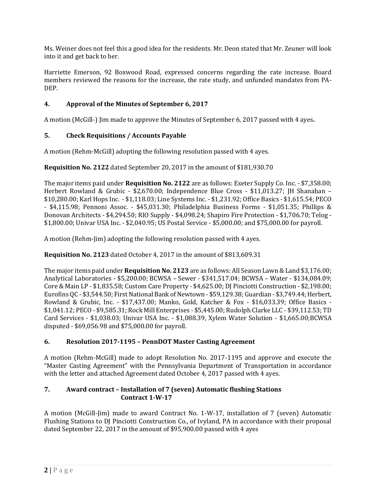Ms. Weiner does not feel this a good idea for the residents. Mr. Deon stated that Mr. Zeuner will look into it and get back to her.

Harriette Emerson, 92 Boxwood Road, expressed concerns regarding the rate increase. Board members reviewed the reasons for the increase, the rate study, and unfunded mandates from PA-DEP.

## **4. Approval of the Minutes of September 6, 2017**

A motion (McGill-) Jim made to approve the Minutes of September 6, 2017 passed with 4 ayes**.**

## **5. Check Requisitions / Accounts Payable**

A motion (Rehm-McGill) adopting the following resolution passed with 4 ayes.

## **Requisition No. 2122** dated September 20, 2017 in the amount of \$181,930.70

The major items paid under **Requisition No. 2122** are as follows: Exeter Supply Co. Inc. - \$7,358.00; Herbert Rowland & Grubic - \$2,670.00; Independence Blue Cross - \$11,013.27; JH Shanahan – \$10,280.00; Karl Hops Inc. - \$1,118.03; Line Systems Inc. - \$1,231.92; Office Basics - \$1,615.54; PECO - \$4,115.98; Pennoni Assoc. - \$45,031.30; Philadelphia Business Forms - \$1,051.35; Phillips & Donovan Architects - \$4,294.50; RIO Supply - \$4,098.24; Shapiro Fire Protection - \$1,706.70; Telog - \$1,800.00; Univar USA Inc. - \$2,040.95; US Postal Service - \$5,000.00; and \$75,000.00 for payroll.

A motion (Rehm-Jim) adopting the following resolution passed with 4 ayes.

#### **Requisition No. 2123** dated October 4, 2017 in the amount of \$813,609.31

The major items paid under **Requisition No. 2123** are as follows: All Season Lawn & Land \$3,176.00; Analytical Laboratories - \$5,200.00; BCWSA – Sewer - \$341,517.04; BCWSA – Water - \$134,084.09; Core & Main LP - \$1,835.58; Custom Care Property - \$4,625.00; DJ Pinciotti Construction - \$2,198.00; Eurofins QC - \$3,544.50; First National Bank of Newtown - \$59,129.38; Guardian - \$3,749.44; Herbert, Rowland & Grubic, Inc. - \$17,437.00; Manko, Gold, Katcher & Fox - \$16,033.39; Office Basics - \$1,041.12; PECO - \$9,585.31; Rock Mill Enterprises - \$5,445.00; Rudolph Clarke LLC - \$39,112.53; TD Card Services - \$1,038.03; Univar USA Inc. - \$1,088.39, Xylem Water Solution - \$1,665.00;BCWSA disputed - \$69,056.98 and \$75,000.00 for payroll.

#### **6. Resolution 2017-1195 – PennDOT Master Casting Agreement**

A motion (Rehm-McGill) made to adopt Resolution No. 2017-1195 and approve and execute the "Master Casting Agreement" with the Pennsylvania Department of Transportation in accordance with the letter and attached Agreement dated October 4, 2017 passed with 4 ayes.

### **7. Award contract – Installation of 7 (seven) Automatic flushing Stations Contract 1-W-17**

A motion (McGill-Jim) made to award Contract No. 1-W-17, installation of 7 (seven) Automatic Flushing Stations to DJ Pinciotti Construction Co., of Ivyland, PA in accordance with their proposal dated September 22, 2017 in the amount of \$95,900.00 passed with 4 ayes